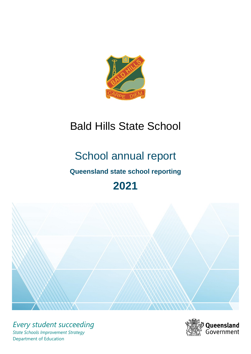

# Bald Hills State School

# School annual report **Queensland state school reporting**

# **2021**



*Every student succeeding State Schools Improvement Strategy* Department of Education

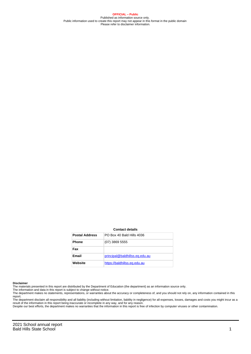**OFFICIAL – Public** Published as information source only. Public information used to create this report may not appear in this format in the public domain Please refer to disclaimer information.

#### **Contact details**

| <b>Postal Address</b> | PO Box 40 Bald Hills 4036      |
|-----------------------|--------------------------------|
| <b>Phone</b>          | $(07)$ 3869 5555               |
| Fax                   |                                |
| <b>Email</b>          | principal@baldhillss.eq.edu.au |
| Website               | https://baldhillss.eq.edu.au   |

#### **Disclaimer**

The materials presented in this report are distributed by the Department of Education (the department) as an information source only.

The information and data in this report is subject to change without notice.<br>The department makes no statements, representations, or warranties about the accuracy or completeness of, and you should not rely on, any informa report.

The department disclaim all responsibility and all liability (including without limitation, liability in negligence) for all expenses, losses, damages and costs you might incur as a result of the information in this report being inaccurate or incomplete in any way, and for any reason. Despite our best efforts, the department makes no warranties that the information in this report is free of infection by computer viruses or other contamination.

2021 School annual report Bald Hills State School 1 and 1 and 1 and 1 and 1 and 1 and 1 and 1 and 1 and 1 and 1 and 1 and 1 and 1 and 1 and 1 and 1 and 1 and 1 and 1 and 1 and 1 and 1 and 1 and 1 and 1 and 1 and 1 and 1 and 1 and 1 and 1 and 1 and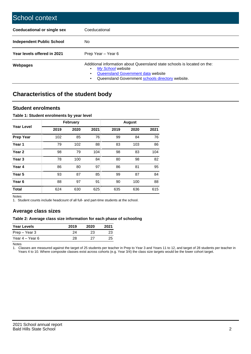| School context                   |                                                                                                                                                                                              |
|----------------------------------|----------------------------------------------------------------------------------------------------------------------------------------------------------------------------------------------|
| Coeducational or single sex      | Coeducational                                                                                                                                                                                |
| <b>Independent Public School</b> | No.                                                                                                                                                                                          |
| Year levels offered in 2021      | Prep Year - Year 6                                                                                                                                                                           |
| Webpages                         | Additional information about Queensland state schools is located on the:<br>My School website<br>Queensland Government data website<br>Queensland Government schools directory website.<br>٠ |

# **Characteristics of the student body**

### **Student enrolments**

#### **Table 1: Student enrolments by year level**

|                   |      | <b>February</b> |      |      | <b>August</b> |      |
|-------------------|------|-----------------|------|------|---------------|------|
| <b>Year Level</b> | 2019 | 2020            | 2021 | 2019 | 2020          | 2021 |
| <b>Prep Year</b>  | 102  | 85              | 76   | 99   | 84            | 76   |
| Year 1            | 79   | 102             | 88   | 83   | 103           | 86   |
| Year 2            | 98   | 79              | 104  | 98   | 83            | 104  |
| Year <sub>3</sub> | 78   | 100             | 84   | 80   | 98            | 82   |
| Year 4            | 86   | 80              | 97   | 86   | 81            | 95   |
| Year 5            | 93   | 87              | 85   | 99   | 87            | 84   |
| Year <sub>6</sub> | 88   | 97              | 91   | 90   | 100           | 88   |
| <b>Total</b>      | 624  | 630             | 625  | 635  | 636           | 615  |

Notes

1. Student counts include headcount of all full- and part-time students at the school.

## **Average class sizes**

#### **Table 2: Average class size information for each phase of schooling**

| <b>Year Levels</b> | 2019 | 2020 | 2021 |
|--------------------|------|------|------|
| Prep – Year 3      | 24   | 23   | 23   |
| Year 4 – Year 6    | 28   | クフ   | 25   |

Notes

1. Classes are measured against the target of 25 students per teacher in Prep to Year 3 and Years 11 to 12, and target of 28 students per teacher in Years 4 to 10. Where composite classes exist across cohorts (e.g. Year 3/4) the class size targets would be the lower cohort target.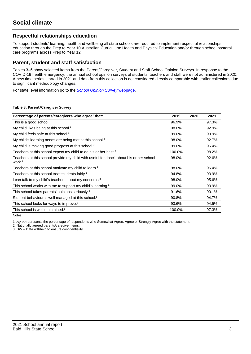## **Respectful relationships education**

To support students' learning, health and wellbeing all state schools are required to implement respectful relationships education through the Prep to Year 10 Australian Curriculum: Health and Physical Education and/or through school pastoral care programs across Prep to Year 12.

### **Parent, student and staff satisfaction**

Tables 3–5 show selected items from the Parent/Caregiver, Student and Staff School Opinion Surveys. In response to the COVID-19 health emergency, the annual school opinion surveys of students, teachers and staff were not administered in 2020. A new time series started in 2021 and data from this collection is not considered directly comparable with earlier collections due to significant methodology changes.

For state level information go to the **[School Opinion Survey](https://qed.qld.gov.au/publications/reports/statistics/schooling/schools/schoolopinionsurvey) webpage**.

#### **Table 3: Parent/Caregiver Survey**

| Percentage of parents/caregivers who agree <sup>1</sup> that:                                               | 2019   | 2020 | 2021  |
|-------------------------------------------------------------------------------------------------------------|--------|------|-------|
| This is a good school.                                                                                      | 96.9%  |      | 97.3% |
| My child likes being at this school. <sup>2</sup>                                                           | 98.0%  |      | 92.9% |
| My child feels safe at this school. <sup>2</sup>                                                            | 99.0%  |      | 93.9% |
| My child's learning needs are being met at this school. <sup>2</sup>                                        | 98.0%  |      | 92.7% |
| My child is making good progress at this school. <sup>2</sup>                                               | 99.0%  |      | 96.4% |
| Teachers at this school expect my child to do his or her best. <sup>2</sup>                                 | 100.0% |      | 98.2% |
| Teachers at this school provide my child with useful feedback about his or her school<br>work. <sup>2</sup> | 98.0%  |      | 92.6% |
| Teachers at this school motivate my child to learn. <sup>2</sup>                                            | 98.0%  |      | 96.4% |
| Teachers at this school treat students fairly. <sup>2</sup>                                                 | 94.8%  |      | 93.9% |
| I can talk to my child's teachers about my concerns. <sup>2</sup>                                           | 98.0%  |      | 95.6% |
| This school works with me to support my child's learning. <sup>2</sup>                                      | 99.0%  |      | 93.9% |
| This school takes parents' opinions seriously. <sup>2</sup>                                                 | 91.6%  |      | 90.1% |
| Student behaviour is well managed at this school. <sup>2</sup>                                              | 90.8%  |      | 94.7% |
| This school looks for ways to improve. <sup>2</sup>                                                         | 93.6%  |      | 94.5% |
| This school is well maintained. <sup>2</sup>                                                                | 100.0% |      | 97.3% |

Notes

1. Agree represents the percentage of respondents who Somewhat Agree, Agree or Strongly Agree with the statement.

2. Nationally agreed parents/caregiver items.

3. DW = Data withheld to ensure confidentiality.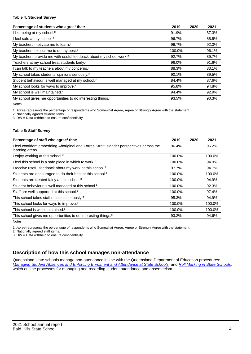#### **Table 4: Student Survey**

| Percentage of students who agree <sup>1</sup> that:                            | 2019   | 2020 | 2021  |
|--------------------------------------------------------------------------------|--------|------|-------|
| I like being at my school. <sup>2</sup>                                        | 91.9%  |      | 87.3% |
| I feel safe at my school. <sup>2</sup>                                         | 96.7%  |      | 88.5% |
| My teachers motivate me to learn. <sup>2</sup>                                 | 96.7%  |      | 92.3% |
| My teachers expect me to do my best. <sup>2</sup>                              | 100.0% |      | 96.1% |
| My teachers provide me with useful feedback about my school work. <sup>2</sup> | 92.7%  |      | 89.7% |
| Teachers at my school treat students fairly. <sup>2</sup>                      | 96.0%  |      | 91.6% |
| I can talk to my teachers about my concerns. <sup>2</sup>                      | 88.3%  |      | 83.1% |
| My school takes students' opinions seriously. <sup>2</sup>                     | 90.1%  |      | 89.5% |
| Student behaviour is well managed at my school. <sup>2</sup>                   | 84.4%  |      | 87.6% |
| My school looks for ways to improve. <sup>2</sup>                              | 95.8%  |      | 94.8% |
| My school is well maintained. <sup>2</sup>                                     | 94.4%  |      | 92.9% |
| My school gives me opportunities to do interesting things. <sup>2</sup>        | 93.5%  |      | 90.3% |

Notes

1. Agree represents the percentage of respondents who Somewhat Agree, Agree or Strongly Agree with the statement.

2. Nationally agreed student items.

3. DW = Data withheld to ensure confidentiality.

#### **Table 5: Staff Survey**

| Percentage of staff who agree <sup>1</sup> that:                                                            | 2019   | 2020 | 2021   |
|-------------------------------------------------------------------------------------------------------------|--------|------|--------|
| I feel confident embedding Aboriginal and Torres Strait Islander perspectives across the<br>learning areas. | 96.4%  |      | 96.2%  |
| I enjoy working at this school. <sup>2</sup>                                                                | 100.0% |      | 100.0% |
| I feel this school is a safe place in which to work. <sup>2</sup>                                           | 100.0% |      | 94.9%  |
| I receive useful feedback about my work at this school. <sup>2</sup>                                        | 97.7%  |      | 94.7%  |
| Students are encouraged to do their best at this school. <sup>2</sup>                                       | 100.0% |      | 100.0% |
| Students are treated fairly at this school. <sup>2</sup>                                                    | 100.0% |      | 94.9%  |
| Student behaviour is well managed at this school. <sup>2</sup>                                              | 100.0% |      | 92.3%  |
| Staff are well supported at this school. <sup>2</sup>                                                       | 100.0% |      | 97.4%  |
| This school takes staff opinions seriously. <sup>2</sup>                                                    | 95.3%  |      | 94.9%  |
| This school looks for ways to improve. <sup>2</sup>                                                         | 100.0% |      | 100.0% |
| This school is well maintained. <sup>2</sup>                                                                | 100.0% |      | 100.0% |
| This school gives me opportunities to do interesting things. <sup>2</sup>                                   | 93.2%  |      | 94.6%  |

Notes

1. Agree represents the percentage of respondents who Somewhat Agree, Agree or Strongly Agree with the statement.

2. Nationally agreed staff items.

3. DW = Data withheld to ensure confidentiality.

## **Description of how this school manages non-attendance**

Queensland state schools manage non-attendance in line with the Queensland Department of Education procedures: [Managing Student Absences and Enforcing Enrolment and Attendance at State Schools](https://ppr.qed.qld.gov.au/pp/managing-student-absences-and-enforcing-enrolment-and-attendance-at-state-schools-procedure); and [Roll Marking in State Schools,](https://ppr.qed.qld.gov.au/pp/roll-marking-in-state-schools-procedure) which outline processes for managing and recording student attendance and absenteeism.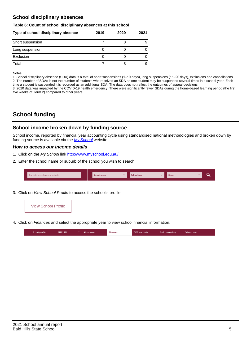## **School disciplinary absences**

#### **Table 6: Count of school disciplinary absences at this school**

| Type of school disciplinary absence | 2019 | 2020 | 2021 |
|-------------------------------------|------|------|------|
| Short suspension                    |      |      | 9    |
| Long suspension                     |      |      |      |
| Exclusion                           |      |      |      |
| Total                               |      |      | 9    |

Notes

1. School disciplinary absence (SDA) data is a total of short suspensions (1–10 days), long suspensions (11–20 days), exclusions and cancellations. 2. The number of SDAs is not the number of students who received an SDA as one student may be suspended several times in a school year. Each time a student is suspended it is recorded as an additional SDA. The data does not reflect the outcomes of appeal decisions.

3. 2020 data was impacted by the COVID-19 health emergency. There were significantly fewer SDAs during the home-based learning period (the first five weeks of Term 2) compared to other years.

# **School funding**

## **School income broken down by funding source**

School income, reported by financial year accounting cycle using standardised national methodologies and broken down by funding source is available via the  $My$  School website.

#### **How to access our income details**

- 1. Click on the My School link <http://www.myschool.edu.au/>.
- 2. Enter the school name or suburb of the school you wish to search.

|  | Search by school name or suburb |  | <b>School sector</b> |  | $\sim$ and $\sim$ represents the set of $\sim$ | <b>State</b> |  |  |  |
|--|---------------------------------|--|----------------------|--|------------------------------------------------|--------------|--|--|--|
|--|---------------------------------|--|----------------------|--|------------------------------------------------|--------------|--|--|--|

3. Click on View School Profile to access the school's profile.



4. Click on Finances and select the appropriate year to view school financial information.

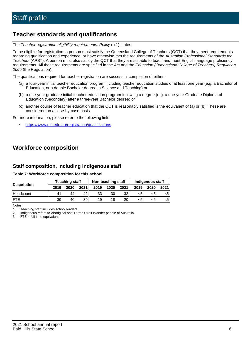# **Teacher standards and qualifications**

The Teacher registration eligibility requirements: Policy (p.1) states:

To be eligible for registration, a person must satisfy the Queensland College of Teachers (QCT) that they meet requirements regarding qualification and experience, or have otherwise met the requirements of the Australian Professional Standards for Teachers (APST). A person must also satisfy the QCT that they are suitable to teach and meet English language proficiency requirements. All these requirements are specified in the Act and the Education (Queensland College of Teachers) Regulation 2005 (the Regulation).

The qualifications required for teacher registration are successful completion of either -

- (a) a four-year initial teacher education program including teacher education studies of at least one year (e.g. a Bachelor of Education, or a double Bachelor degree in Science and Teaching) or
- (b) a one-year graduate initial teacher education program following a degree (e.g. a one-year Graduate Diploma of Education (Secondary) after a three-year Bachelor degree) or
- (c) another course of teacher education that the QCT is reasonably satisfied is the equivalent of (a) or (b). These are considered on a case-by-case basis.

For more information, please refer to the following link:

• <https://www.qct.edu.au/registration/qualifications>

# **Workforce composition**

## **Staff composition, including Indigenous staff**

#### **Table 7: Workforce composition for this school**

|                    | <b>Teaching staff</b> |      |      | Non-teaching staff |      |                 | Indigenous staff |      |      |  |
|--------------------|-----------------------|------|------|--------------------|------|-----------------|------------------|------|------|--|
| <b>Description</b> | 2019                  | 2020 | 2021 | 2019               | 2020 | 2021            | 2019             | 2020 | 2021 |  |
| Headcount          | 41                    | 44   | 42   | 33                 | 30   | 32              | <5               | <5   |      |  |
| <b>FTF</b>         | 39                    | 40   | 39   | 19                 | 18   | 20 <sub>1</sub> | <5               | ה>   |      |  |

Notes

1. Teaching staff includes school leaders.

2. Indigenous refers to Aboriginal and Torres Strait Islander people of Australia.

3. FTE = full-time equivalent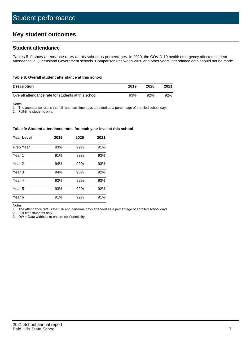# **Key student outcomes**

## **Student attendance**

Tables 8–9 show attendance rates at this school as percentages. In 2020, the COVID-19 health emergency affected student attendance in Queensland Government schools. Comparisons between 2020 and other years' attendance data should not be made.

#### **Table 8: Overall student attendance at this school**

| <b>Description</b>                                  | 2019 | 2020 | 2021 |
|-----------------------------------------------------|------|------|------|
| Overall attendance rate for students at this school | 93%  | 92%  | 92%  |

Notes

1. The attendance rate is the full- and part-time days attended as a percentage of enrolled school days.

2. Full-time students only.

#### **Table 9: Student attendance rates for each year level at this school**

| <b>Year Level</b> | 2019 | 2020 | 2021 |
|-------------------|------|------|------|
| Prep Year         | 93%  | 92%  | 91%  |
| Year <sub>1</sub> | 91%  | 93%  | 93%  |
| Year 2            | 94%  | 92%  | 93%  |
| Year 3            | 94%  | 93%  | 92%  |
| Year 4            | 93%  | 92%  | 93%  |
| Year 5            | 93%  | 92%  | 92%  |
| Year <sub>6</sub> | 91%  | 92%  | 91%  |

Notes

1. The attendance rate is the full- and part-time days attended as a percentage of enrolled school days.

2. Full-time students only.

3. DW = Data withheld to ensure confidentiality